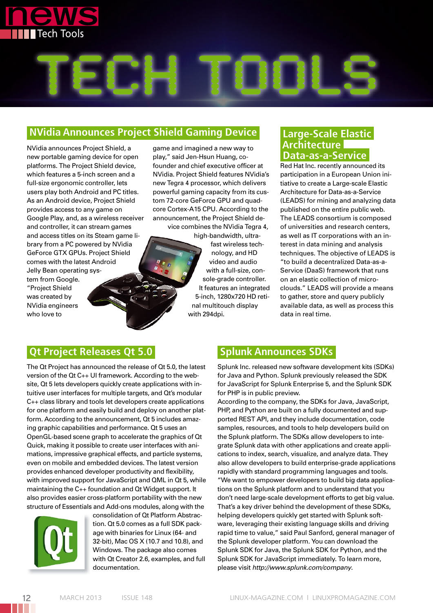



### **NVidia Announces Project Shield Gaming Device**

NVidia announces Project Shield, a new portable gaming device for open platforms. The Project Shield device, which features a 5-inch screen and a full-size ergonomic controller, lets users play both Android and PC titles. As an Android device, Project Shield provides access to any game on Google Play, and, as a wireless receiver and controller, it can stream games and access titles on its Steam game library from a PC powered by NVidia GeForce GTX GPUs. Project Shield comes with the latest Android Jelly Bean operating system from Google. "Project Shield was created by NVidia engineers who love to

game and imagined a new way to play," said Jen-Hsun Huang, cofounder and chief executive officer at NVidia. Project Shield features NVidia's new Tegra 4 processor, which delivers powerful gaming capacity from its custom 72-core GeForce GPU and quadcore Cortex-A15 CPU. According to the announcement, the Project Shield device combines the NVidia Tegra 4,

high-bandwidth, ultrafast wireless technology, and HD video and audio with a full-size, console-grade controller. It features an integrated 5-inch, 1280x720 HD retinal multitouch display with 294dpi.

#### **Large-Scale Elastic Architecture Data-as-a-Service**

Red Hat Inc. recently announced its participation in a European Union initiative to create a Large-scale Elastic Architecture for Data-as-a-Service (LEADS) for mining and analyzing data published on the entire public web. The LEADS consortium is composed of universities and research centers, as well as IT corporations with an interest in data mining and analysis techniques. The objective of LEADS is "to build a decentralized Data-as-a-Service (DaaS) framework that runs on an elastic collection of microclouds." LEADS will provide a means to gather, store and query publicly available data, as well as process this data in real time.

## **Qt Project Releases Qt 5.0**

The Qt Project has announced the release of Qt 5.0, the latest version of the Qt C++ UI framework. According to the website, Qt 5 lets developers quickly create applications with intuitive user interfaces for multiple targets, and Qt's modular C++ class library and tools let developers create applications for one platform and easily build and deploy on another platform. According to the announcement, Qt 5 includes amazing graphic capabilities and performance. Qt 5 uses an OpenGL-based scene graph to accelerate the graphics of Qt Quick, making it possible to create user interfaces with animations, impressive graphical effects, and particle systems, even on mobile and embedded devices. The latest version provides enhanced developer productivity and flexibility, with improved support for JavaScript and QML in Qt 5, while maintaining the C++ foundation and Qt Widget support. It also provides easier cross-platform portability with the new structure of Essentials and Add-ons modules, along with the



consolidation of Qt Platform Abstraction. Qt 5.0 comes as a full SDK package with binaries for Linux (64- and 32-bit), Mac OS X (10.7 and 10.8), and Windows. The package also comes with Qt Creator 2.6, examples, and full documentation.

## **Splunk Announces SDKs**

Splunk Inc. released new software development kits (SDKs) for Java and Python. Splunk previously released the SDK for JavaScript for Splunk Enterprise 5, and the Splunk SDK for PHP is in public preview.

According to the company, the SDKs for Java, JavaScript, PHP, and Python are built on a fully documented and supported REST API, and they include documentation, code samples, resources, and tools to help developers build on the Splunk platform. The SDKs allow developers to integrate Splunk data with other applications and create applications to index, search, visualize, and analyze data. They also allow developers to build enterprise-grade applications rapidly with standard programming languages and tools. "We want to empower developers to build big data applications on the Splunk platform and to understand that you don't need large-scale development efforts to get big value. That's a key driver behind the development of these SDKs, helping developers quickly get started with Splunk software, leveraging their existing language skills and driving rapid time to value," said Paul Sanford, general manager of the Splunk developer platform. You can download the Splunk SDK for Java, the Splunk SDK for Python, and the Splunk SDK for JavaScript immediately. To learn more, please visit *http://www.splunk.com/company*.